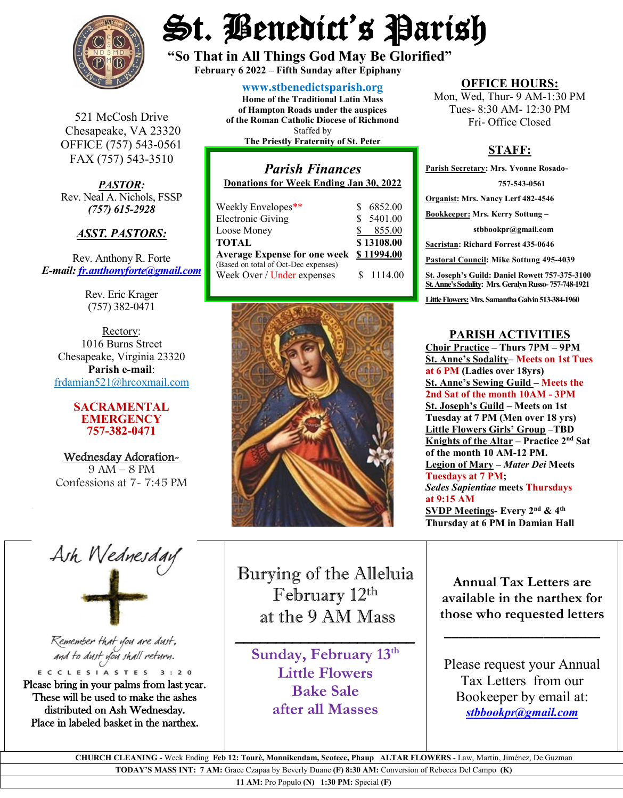

St. Benedict's Parish

**"So That in All Things God May Be Glorified" February 6 <sup>2022</sup> – Fifth Sunday after Epiphany**

521 McCosh Drive Chesapeake, VA 23320 OFFICE (757) 543-0561 FAX (757) 543-3510

*PASTOR:* Rev. Neal A. Nichols, FSSP *(757) 615-2928* 

#### *ASST. PASTORS:*

Rev. Anthony R. Forte *E-mail: [fr.anthonyforte@gmail.com](mailto:fr.anthonyforte@gmail.com)*

> Rev. Eric Krager (757) 382-0471

Rectory: 1016 Burns Street Chesapeake, Virginia 23320 **Parish e-mail**: [frdamian521@hrcoxmail.com](mailto:frdamian521@hrcoxmail.com)

#### **SACRAMENTAL EMERGENCY 757-382-0471**

Wednesday Adoration-9 AM – 8 PM Confessions at 7- 7:45 PM

#### **[www.stbenedictsparish.org](http://www.stbenedictsparish.org/) Home of the Traditional Latin Mass of Hampton Roads under the auspices of the Roman Catholic Diocese of Richmond** Staffed by

**The Priestly Fraternity of St. Peter**

### *Parish Finances* **Donations for Week Ending Jan 30, 2022** Weekly Envelopes\*\* \$ 6852.00<br>Electronic Giving \$ 5401.00 Electronic Giving  $\begin{array}{ccc} \text{$} & \text{$} & \text{$} & \text{$} & \text{$} & \text{$} \\ \text{I} & \text{Oose}\text{ Money} & \text{$} & \text{$} & \text{$} & \text{$} & \text{$} \\ \end{array}$ Loose Money

|                                         | \$13108.00 |  |
|-----------------------------------------|------------|--|
| Average Expense for one week \$11994.00 |            |  |
|                                         |            |  |
|                                         | \$ 1114.00 |  |
|                                         |            |  |



**OFFICE HOURS:**

Mon, Wed, Thur- 9 AM-1:30 PM Tues- 8:30 AM- 12:30 PM Fri- Office Closed

## **STAFF:**

**Parish Secretary: Mrs. Yvonne Rosado- 757-543-0561 Organist: Mrs. Nancy Lerf 482-4546 Bookkeeper: Mrs. Kerry Sottung – stbbookpr@gmail.com Sacristan: Richard Forrest 435-0646 Pastoral Council: Mike Sottung 495-4039 St. Joseph's Guild: Daniel Rowett 757-375-3100 St. Anne's Sodality: Mrs. Geralyn Russo-757-748-1921** Little Flowers: Mrs. Samantha Galvin 513-384-1960

### **PARISH ACTIVITIES**

**Choir Practice – Thurs 7PM – 9PM St. Anne's Sodality– Meets on 1st Tues at 6 PM (Ladies over 18yrs) St. Anne's Sewing Guild – Meets the 2nd Sat of the month 10AM - 3PM St. Joseph's Guild – Meets on 1st Tuesday at 7 PM (Men over 18 yrs) Little Flowers Girls' Group –TBD Knights of the Altar – Practice 2nd Sat of the month 10 AM-12 PM. Legion of Mary –** *Mater Dei* **Meets Tuesdays at 7 PM;**  *Sedes Sapientiae* **meets Thursdays at 9:15 AM SVDP Meetings- Every 2nd & 4th Thursday at 6 PM in Damian Hall**

Ash Wednesday

Remember that you are dust, and to dust you shall return.

ECCLESIASTES 3:20 Please bring in your palms from last year. These will be used to make the ashes distributed on Ash Wednesday. Place in labeled basket in the narthex.

Burying of the Alleluia  February 12th at the 9 AM Mass 

**Sunday, February 13th Little Flowers Bake Sale after all Masses**

 $\overline{\phantom{a}}$  , and the set of the set of the set of the set of the set of the set of the set of the set of the set of the set of the set of the set of the set of the set of the set of the set of the set of the set of the s

**Annual Tax Letters are available in the narthex for those who requested letters**

**\_\_\_\_\_\_\_\_\_\_\_\_\_\_\_\_\_\_\_\_\_\_**

Please request your Annual Tax Lettersfrom our Bookeeper by email at: *[stbbookpr@gmail.com](mailto:stbbookpr@gmail.com)*

 **CHURCH CLEANING -** Week Ending **Feb 12: Tourè, Monnikendam, Scotece, Phaup ALTAR FLOWERS** - Law, Martin, Jiménez, De Guzman

**TODAY'S MASS INT: 7 AM:** Grace Czapaa by Beverly Duane **(F) 8:30 AM:** Conversion of Rebecca Del Campo **(K)** 

**11 AM:** Pro Populo **(N) 1:30 PM:** Special **(F)**